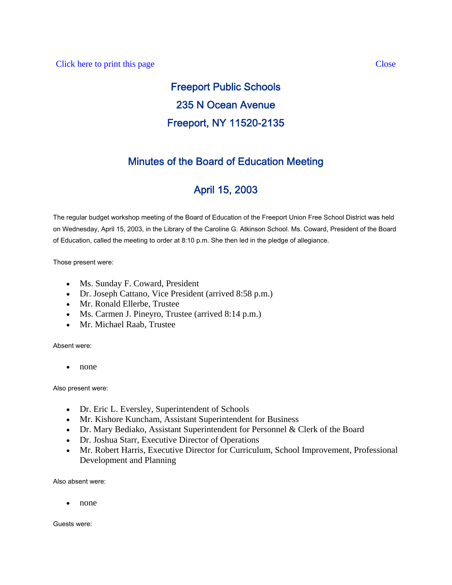# Freeport Public Schools 235 N Ocean Avenue Freeport, NY 11520-2135

### Minutes of the Board of Education Meeting

## April 15, 2003

The regular budget workshop meeting of the Board of Education of the Freeport Union Free School District was held on Wednesday, April 15, 2003, in the Library of the Caroline G. Atkinson School. Ms. Coward, President of the Board of Education, called the meeting to order at 8:10 p.m. She then led in the pledge of allegiance.

Those present were:

- Ms. Sunday F. Coward, President
- Dr. Joseph Cattano, Vice President (arrived 8:58 p.m.)
- Mr. Ronald Ellerbe, Trustee
- Ms. Carmen J. Pineyro, Trustee (arrived 8:14 p.m.)
- Mr. Michael Raab, Trustee

Absent were:

• none

Also present were:

- Dr. Eric L. Eversley, Superintendent of Schools
- Mr. Kishore Kuncham, Assistant Superintendent for Business
- Dr. Mary Bediako, Assistant Superintendent for Personnel & Clerk of the Board
- Dr. Joshua Starr, Executive Director of Operations
- Mr. Robert Harris, Executive Director for Curriculum, School Improvement, Professional Development and Planning

Also absent were:

• none

Guests were: